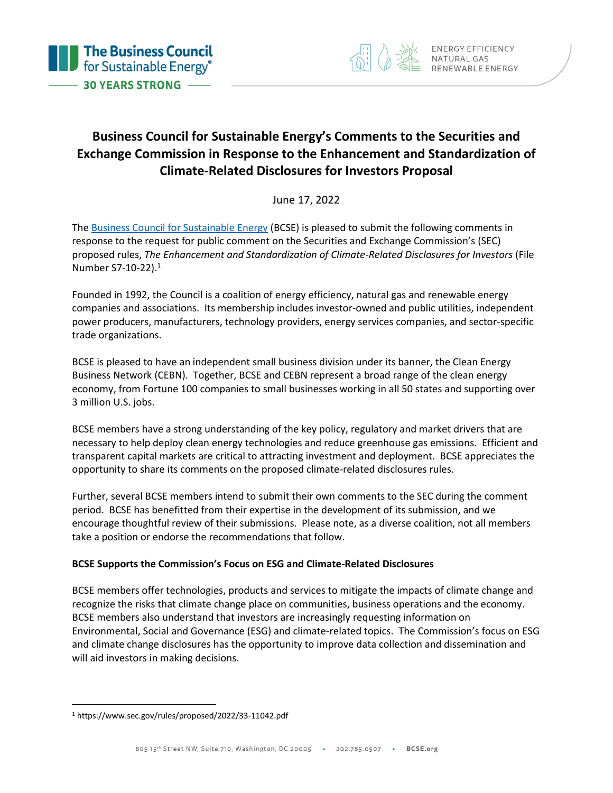

# **Business Council for Sustainable Energy's Comments to the Securities and Exchange Commission in Response to the Enhancement and Standardization of Climate-Related Disclosures for Investors Proposal**

June 17, 2022

The [Business Council for Sustainable Energy](http://www.bcse.org/) (BCSE) is pleased to submit the following comments in response to the request for public comment on the Securities and Exchange Commission's (SEC) proposed rules, *The Enhancement and Standardization of Climate-Related Disclosures for Investors* (File Number S7-10-22).<sup>1</sup>

Founded in 1992, the Council is a coalition of energy efficiency, natural gas and renewable energy companies and associations. Its membership includes investor-owned and public utilities, independent power producers, manufacturers, technology providers, energy services companies, and sector-specific trade organizations.

BCSE is pleased to have an independent small business division under its banner, the Clean Energy Business Network (CEBN). Together, BCSE and CEBN represent a broad range of the clean energy economy, from Fortune 100 companies to small businesses working in all 50 states and supporting over 3 million U.S. jobs.

BCSE members have a strong understanding of the key policy, regulatory and market drivers that are necessary to help deploy clean energy technologies and reduce greenhouse gas emissions. Efficient and transparent capital markets are critical to attracting investment and deployment. BCSE appreciates the opportunity to share its comments on the proposed climate-related disclosures rules.

Further, several BCSE members intend to submit their own comments to the SEC during the comment period.BCSE has benefitted from their expertise in the development of its submission, and we encourage thoughtful review of their submissions.Please note, as a diverse coalition, not all members take a position or endorse the recommendations that follow.

# **BCSE Supports the Commission's Focus on ESG and Climate-Related Disclosures**

BCSE members offer technologies, products and services to mitigate the impacts of climate change and recognize the risks that climate change place on communities, business operations and the economy. BCSE members also understand that investors are increasingly requesting information on Environmental, Social and Governance (ESG) and climate-related topics. The Commission's focus on ESG and climate change disclosures has the opportunity to improve data collection and dissemination and will aid investors in making decisions.

<sup>1</sup> https://www.sec.gov/rules/proposed/2022/33-11042.pdf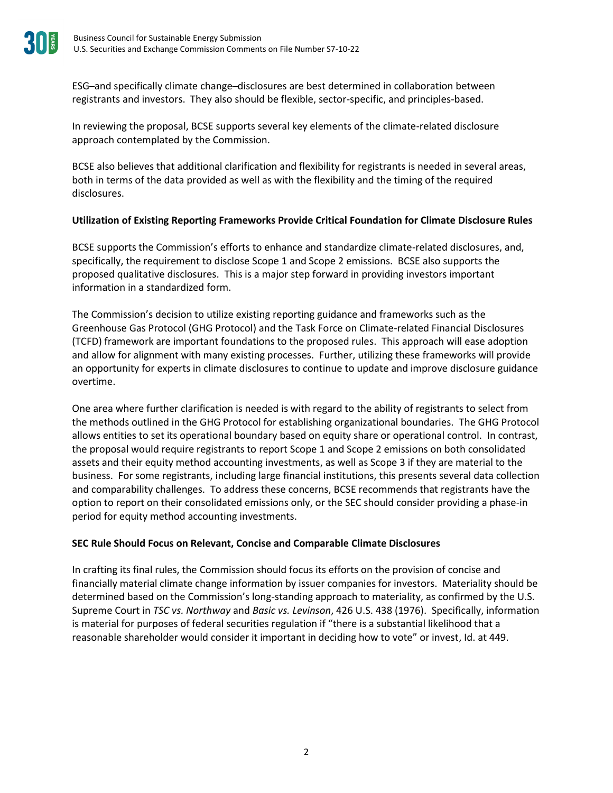ESG ̶and specifically climate change ̶disclosures are best determined in collaboration between registrants and investors. They also should be flexible, sector-specific, and principles-based.

In reviewing the proposal, BCSE supports several key elements of the climate-related disclosure approach contemplated by the Commission.

BCSE also believes that additional clarification and flexibility for registrants is needed in several areas, both in terms of the data provided as well as with the flexibility and the timing of the required disclosures.

## **Utilization of Existing Reporting Frameworks Provide Critical Foundation for Climate Disclosure Rules**

BCSE supports the Commission's efforts to enhance and standardize climate-related disclosures, and, specifically, the requirement to disclose Scope 1 and Scope 2 emissions. BCSE also supports the proposed qualitative disclosures. This is a major step forward in providing investors important information in a standardized form.

The Commission's decision to utilize existing reporting guidance and frameworks such as the Greenhouse Gas Protocol (GHG Protocol) and the Task Force on Climate-related Financial Disclosures (TCFD) framework are important foundations to the proposed rules. This approach will ease adoption and allow for alignment with many existing processes. Further, utilizing these frameworks will provide an opportunity for experts in climate disclosures to continue to update and improve disclosure guidance overtime.

One area where further clarification is needed is with regard to the ability of registrants to select from the methods outlined in the GHG Protocol for establishing organizational boundaries. The GHG Protocol allows entities to set its operational boundary based on equity share or operational control. In contrast, the proposal would require registrants to report Scope 1 and Scope 2 emissions on both consolidated assets and their equity method accounting investments, as well as Scope 3 if they are material to the business. For some registrants, including large financial institutions, this presents several data collection and comparability challenges. To address these concerns, BCSE recommends that registrants have the option to report on their consolidated emissions only, or the SEC should consider providing a phase-in period for equity method accounting investments.

#### **SEC Rule Should Focus on Relevant, Concise and Comparable Climate Disclosures**

In crafting its final rules, the Commission should focus its efforts on the provision of concise and financially material climate change information by issuer companies for investors. Materiality should be determined based on the Commission's long-standing approach to materiality, as confirmed by the U.S. Supreme Court in *TSC vs. Northway* and *Basic vs. Levinson*, 426 U.S. 438 (1976). Specifically, information is material for purposes of federal securities regulation if "there is a substantial likelihood that a reasonable shareholder would consider it important in deciding how to vote" or invest, Id. at 449.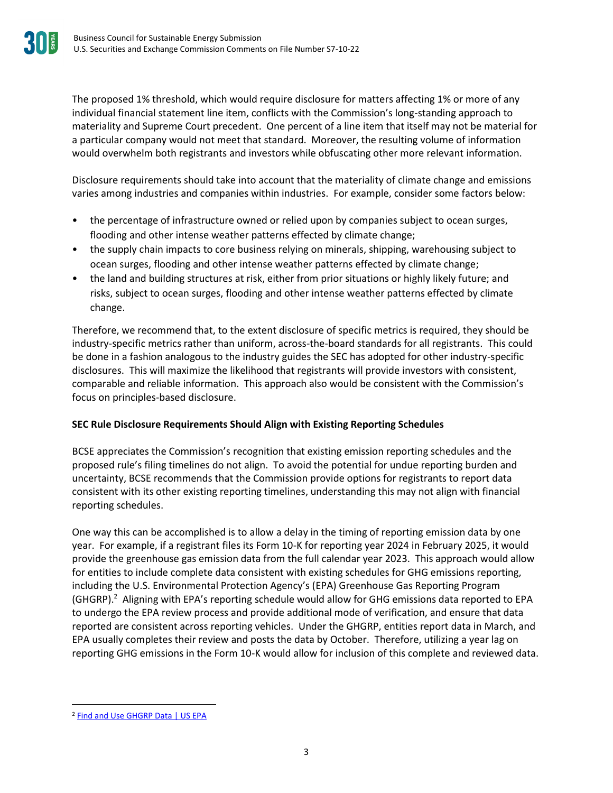The proposed 1% threshold, which would require disclosure for matters affecting 1% or more of any individual financial statement line item, conflicts with the Commission's long-standing approach to materiality and Supreme Court precedent. One percent of a line item that itself may not be material for a particular company would not meet that standard. Moreover, the resulting volume of information would overwhelm both registrants and investors while obfuscating other more relevant information.

Disclosure requirements should take into account that the materiality of climate change and emissions varies among industries and companies within industries. For example, consider some factors below:

- the percentage of infrastructure owned or relied upon by companies subject to ocean surges, flooding and other intense weather patterns effected by climate change;
- the supply chain impacts to core business relying on minerals, shipping, warehousing subject to ocean surges, flooding and other intense weather patterns effected by climate change;
- the land and building structures at risk, either from prior situations or highly likely future; and risks, subject to ocean surges, flooding and other intense weather patterns effected by climate change.

Therefore, we recommend that, to the extent disclosure of specific metrics is required, they should be industry-specific metrics rather than uniform, across-the-board standards for all registrants. This could be done in a fashion analogous to the industry guides the SEC has adopted for other industry-specific disclosures. This will maximize the likelihood that registrants will provide investors with consistent, comparable and reliable information. This approach also would be consistent with the Commission's focus on principles-based disclosure.

# **SEC Rule Disclosure Requirements Should Align with Existing Reporting Schedules**

BCSE appreciates the Commission's recognition that existing emission reporting schedules and the proposed rule's filing timelines do not align. To avoid the potential for undue reporting burden and uncertainty, BCSE recommends that the Commission provide options for registrants to report data consistent with its other existing reporting timelines, understanding this may not align with financial reporting schedules.

One way this can be accomplished is to allow a delay in the timing of reporting emission data by one year. For example, if a registrant files its Form 10-K for reporting year 2024 in February 2025, it would provide the greenhouse gas emission data from the full calendar year 2023. This approach would allow for entities to include complete data consistent with existing schedules for GHG emissions reporting, including the U.S. Environmental Protection Agency's (EPA) Greenhouse Gas Reporting Program (GHGRP).<sup>2</sup> Aligning with EPA's reporting schedule would allow for GHG emissions data reported to EPA to undergo the EPA review process and provide additional mode of verification, and ensure that data reported are consistent across reporting vehicles. Under the GHGRP, entities report data in March, and EPA usually completes their review and posts the data by October. Therefore, utilizing a year lag on reporting GHG emissions in the Form 10-K would allow for inclusion of this complete and reviewed data.

<sup>&</sup>lt;sup>2</sup> [Find and Use GHGRP Data | US EPA](https://www.epa.gov/ghgreporting/find-and-use-ghgrp-data)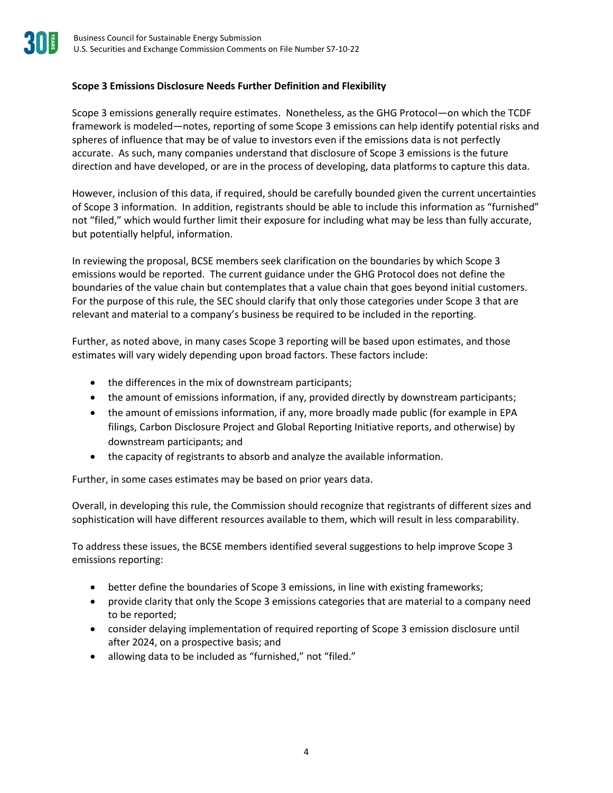# **Scope 3 Emissions Disclosure Needs Further Definition and Flexibility**

Scope 3 emissions generally require estimates. Nonetheless, as the GHG Protocol—on which the TCDF framework is modeled—notes, reporting of some Scope 3 emissions can help identify potential risks and spheres of influence that may be of value to investors even if the emissions data is not perfectly accurate. As such, many companies understand that disclosure of Scope 3 emissions is the future direction and have developed, or are in the process of developing, data platforms to capture this data.

However, inclusion of this data, if required, should be carefully bounded given the current uncertainties of Scope 3 information. In addition, registrants should be able to include this information as "furnished" not "filed," which would further limit their exposure for including what may be less than fully accurate, but potentially helpful, information.

In reviewing the proposal, BCSE members seek clarification on the boundaries by which Scope 3 emissions would be reported. The current guidance under the GHG Protocol does not define the boundaries of the value chain but contemplates that a value chain that goes beyond initial customers. For the purpose of this rule, the SEC should clarify that only those categories under Scope 3 that are relevant and material to a company's business be required to be included in the reporting.

Further, as noted above, in many cases Scope 3 reporting will be based upon estimates, and those estimates will vary widely depending upon broad factors. These factors include:

- the differences in the mix of downstream participants;
- the amount of emissions information, if any, provided directly by downstream participants;
- the amount of emissions information, if any, more broadly made public (for example in EPA filings, Carbon Disclosure Project and Global Reporting Initiative reports, and otherwise) by downstream participants; and
- the capacity of registrants to absorb and analyze the available information.

Further, in some cases estimates may be based on prior years data.

Overall, in developing this rule, the Commission should recognize that registrants of different sizes and sophistication will have different resources available to them, which will result in less comparability.

To address these issues, the BCSE members identified several suggestions to help improve Scope 3 emissions reporting:

- better define the boundaries of Scope 3 emissions, in line with existing frameworks;
- provide clarity that only the Scope 3 emissions categories that are material to a company need to be reported;
- consider delaying implementation of required reporting of Scope 3 emission disclosure until after 2024, on a prospective basis; and
- allowing data to be included as "furnished," not "filed."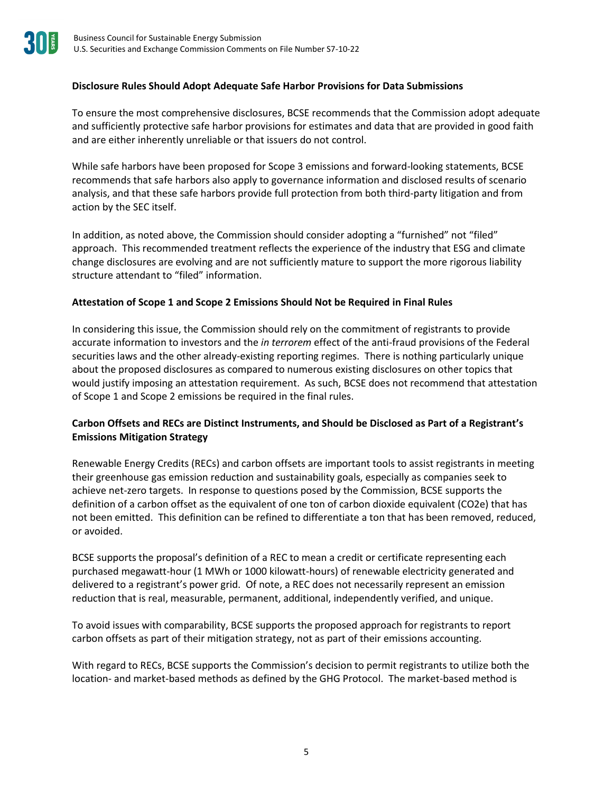## **Disclosure Rules Should Adopt Adequate Safe Harbor Provisions for Data Submissions**

To ensure the most comprehensive disclosures, BCSE recommends that the Commission adopt adequate and sufficiently protective safe harbor provisions for estimates and data that are provided in good faith and are either inherently unreliable or that issuers do not control.

While safe harbors have been proposed for Scope 3 emissions and forward-looking statements, BCSE recommends that safe harbors also apply to governance information and disclosed results of scenario analysis, and that these safe harbors provide full protection from both third-party litigation and from action by the SEC itself.

In addition, as noted above, the Commission should consider adopting a "furnished" not "filed" approach. This recommended treatment reflects the experience of the industry that ESG and climate change disclosures are evolving and are not sufficiently mature to support the more rigorous liability structure attendant to "filed" information.

#### **Attestation of Scope 1 and Scope 2 Emissions Should Not be Required in Final Rules**

In considering this issue, the Commission should rely on the commitment of registrants to provide accurate information to investors and the *in terrorem* effect of the anti-fraud provisions of the Federal securities laws and the other already-existing reporting regimes. There is nothing particularly unique about the proposed disclosures as compared to numerous existing disclosures on other topics that would justify imposing an attestation requirement. As such, BCSE does not recommend that attestation of Scope 1 and Scope 2 emissions be required in the final rules.

## **Carbon Offsets and RECs are Distinct Instruments, and Should be Disclosed as Part of a Registrant's Emissions Mitigation Strategy**

Renewable Energy Credits (RECs) and carbon offsets are important tools to assist registrants in meeting their greenhouse gas emission reduction and sustainability goals, especially as companies seek to achieve net-zero targets. In response to questions posed by the Commission, BCSE supports the definition of a carbon offset as the equivalent of one ton of carbon dioxide equivalent (CO2e) that has not been emitted. This definition can be refined to differentiate a ton that has been removed, reduced, or avoided.

BCSE supports the proposal's definition of a REC to mean a credit or certificate representing each purchased megawatt-hour (1 MWh or 1000 kilowatt-hours) of renewable electricity generated and delivered to a registrant's power grid. Of note, a REC does not necessarily represent an emission reduction that is real, measurable, permanent, additional, independently verified, and unique.

To avoid issues with comparability, BCSE supports the proposed approach for registrants to report carbon offsets as part of their mitigation strategy, not as part of their emissions accounting.

With regard to RECs, BCSE supports the Commission's decision to permit registrants to utilize both the location- and market-based methods as defined by the GHG Protocol. The market-based method is